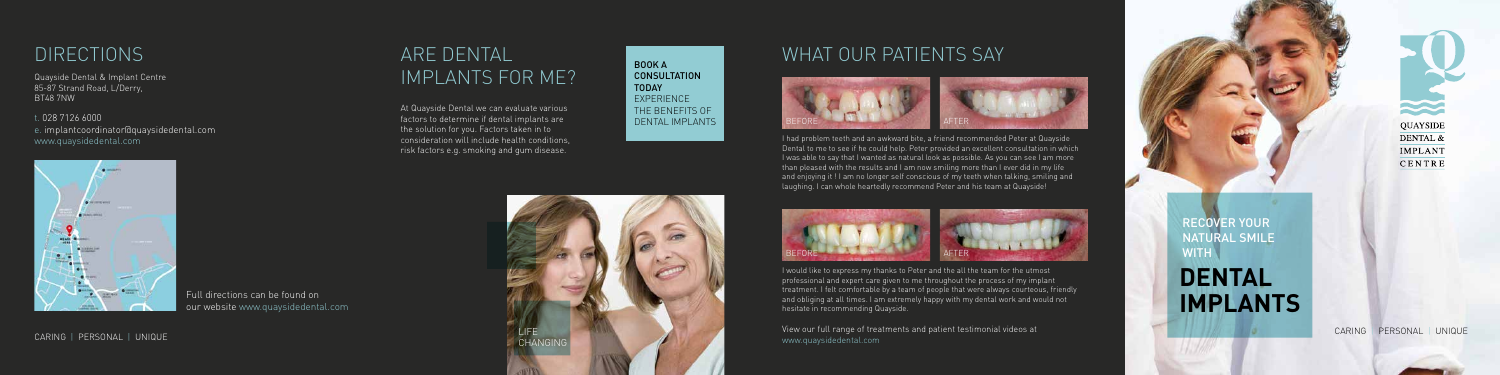CARING | PERSONAL | UNIQUE

## WHAT OUR PATIENTS SAY

View our full range of treatments and patient testimonial videos at www.quaysidedental.com







I had problem teeth and an awkward bite, a friend recommended Peter at Quayside Dental to me to see if he could help. Peter provided an excellent consultation in which I was able to say that I wanted as natural look as possible. As you can see I am more than pleased with the results and I am now smiling more than I ever did in my life and enjoying it ! I am no longer self conscious of my teeth when talking, smiling and laughing. I can whole heartedly recommend Peter and his team at Quayside!

> RECOVER YOUR NATURAL SMILE WITH **N**



I would like to express my thanks to Peter and the all the team for the utmost professional and expert care given to me throughout the process of my implant treatment. I felt comfortable by a team of people that were always courteous, friendly and obliging at all times. I am extremely happy with my dental work and would not hesitate in recommending Quayside.

**DENTAL IMPLANTS**

N **QUAYSIDE** DENTAL & **IMPLANT** CENTRE

At Quayside Dental we can evaluate various factors to determine if dental implants are the solution for you. Factors taken in to consideration will include health conditions, risk factors e.g. smoking and gum disease.

# ARE DENTAL IMPLANTS FOR ME?



BOOK A **CONSULTATION** TODAY **EXPERIENCE** THE BENEFITS OF DENTAL IMPLANTS





t. 028 7126 6000 e. implantcoordinator@quaysidedental.com www.quaysidedental.com

## **DIRECTIONS**

Quayside Dental & Implant Centre 85-87 Strand Road, L/Derry, BT48 7NW